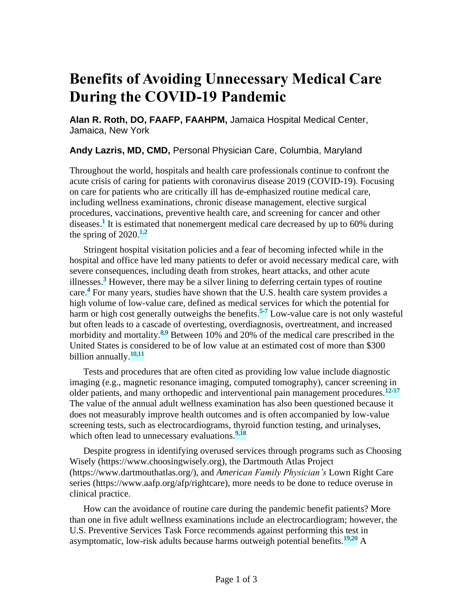## **Benefits of Avoiding Unnecessary Medical Care During the COVID-19 Pandemic**

**Alan R. Roth, DO, FAAFP, FAAHPM,** Jamaica Hospital Medical Center, Jamaica, New York

**Andy Lazris, MD, CMD,** Personal Physician Care, Columbia, Maryland

Throughout the world, hospitals and health care professionals continue to confront the acute crisis of caring for patients with coronavirus disease 2019 (COVID-19). Focusing on care for patients who are critically ill has de-emphasized routine medical care, including wellness examinations, chronic disease management, elective surgical procedures, vaccinations, preventive health care, and screening for cancer and other diseases.<sup>1</sup> It is estimated that nonemergent medical care decreased by up to 60% during the spring of  $2020$ <sup>1,2</sup>

Stringent hospital visitation policies and a fear of becoming infected while in the hospital and office have led many patients to defer or avoid necessary medical care, with severe consequences, including death from strokes, heart attacks, and other acute illnesses.<sup>3</sup> However, there may be a silver lining to deferring certain types of routine care.<sup>4</sup> For many years, studies have shown that the U.S. health care system provides a high volume of low-value care, defined as medical services for which the potential for harm or high cost generally outweighs the benefits.<sup>5-7</sup> Low-value care is not only wasteful but often leads to a cascade of overtesting, overdiagnosis, overtreatment, and increased morbidity and mortality.<sup>8,9</sup> Between 10% and 20% of the medical care prescribed in the United States is considered to be of low value at an estimated cost of more than \$300 billion annually.<sup>10,11</sup>

Tests and procedures that are often cited as providing low value include diagnostic imaging (e.g., magnetic resonance imaging, computed tomography), cancer screening in older patients, and many orthopedic and interventional pain management procedures.<sup>12-17</sup> The value of the annual adult wellness examination has also been questioned because it does not measurably improve health outcomes and is often accompanied by low-value screening tests, such as electrocardiograms, thyroid function testing, and urinalyses, which often lead to unnecessary evaluations. $9.18$ 

Despite progress in identifying overused services through programs such as Choosing Wisely (https://www.choosingwisely.org), the Dartmouth Atlas Project (https://www.dartmouthatlas.org/), and *American Family Physician's* Lown Right Care series (https://www.aafp.org/afp/rightcare), more needs to be done to reduce overuse in clinical practice.

How can the avoidance of routine care during the pandemic benefit patients? More than one in five adult wellness examinations include an electrocardiogram; however, the U.S. Preventive Services Task Force recommends against performing this test in asymptomatic, low-risk adults because harms outweigh potential benefits.<sup>19,20</sup> A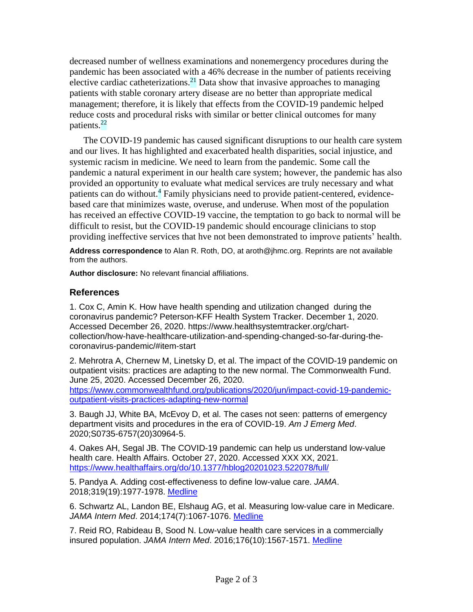decreased number of wellness examinations and nonemergency procedures during the pandemic has been associated with a 46% decrease in the number of patients receiving elective cardiac catheterizations.<sup>21</sup> Data show that invasive approaches to managing patients with stable coronary artery disease are no better than appropriate medical management; therefore, it is likely that effects from the COVID-19 pandemic helped reduce costs and procedural risks with similar or better clinical outcomes for many patients.<sup>22</sup>

The COVID-19 pandemic has caused significant disruptions to our health care system and our lives. It has highlighted and exacerbated health disparities, social injustice, and systemic racism in medicine. We need to learn from the pandemic. Some call the pandemic a natural experiment in our health care system; however, the pandemic has also provided an opportunity to evaluate what medical services are truly necessary and what patients can do without.<sup>4</sup> Family physicians need to provide patient-centered, evidencebased care that minimizes waste, overuse, and underuse. When most of the population has received an effective COVID-19 vaccine, the temptation to go back to normal will be difficult to resist, but the COVID-19 pandemic should encourage clinicians to stop providing ineffective services that hve not been demonstrated to improve patients' health.

**Address correspondence** to Alan R. Roth, DO, at aroth@jhmc.org. Reprints are not available from the authors.

**Author disclosure:** No relevant financial affiliations.

## **References**

1. Cox C, Amin K. How have health spending and utilization changed during the coronavirus pandemic? Peterson-KFF Health System Tracker. December 1, 2020. Accessed December 26, 2020. https://www.healthsystemtracker.org/chartcollection/how-have-healthcare-utilization-and-spending-changed-so-far-during-thecoronavirus-pandemic/#item-start

2. Mehrotra A, Chernew M, Linetsky D, et al. The impact of the COVID-19 pandemic on outpatient visits: practices are adapting to the new normal. The Commonwealth Fund. June 25, 2020. Accessed December 26, 2020.

[https://www.commonwealthfund.org/publications/2020/jun/impact-covid-19-pandemic](https://www.commonwealthfund.org/publications/2020/jun/impact-covid-19-pandemic-outpatient-visits-practices-adapting-new-normal)[outpatient-visits-practices-adapting-new-normal](https://www.commonwealthfund.org/publications/2020/jun/impact-covid-19-pandemic-outpatient-visits-practices-adapting-new-normal)

3. Baugh JJ, White BA, McEvoy D, et al. The cases not seen: patterns of emergency department visits and procedures in the era of COVID-19. *Am J Emerg Med*. 2020;S0735-6757(20)30964-5.

4. Oakes AH, Segal JB. The COVID-19 pandemic can help us understand low-value health care. Health Affairs. October 27, 2020. Accessed XXX XX, 2021. <https://www.healthaffairs.org/do/10.1377/hblog20201023.522078/full/>

5. Pandya A. Adding cost-effectiveness to define low-value care. *JAMA*. 2018;319(19):1977-1978. [Medline](https://pubmed.ncbi.nlm.nih.gov/29710341)

6. Schwartz AL, Landon BE, Elshaug AG, et al. Measuring low-value care in Medicare. *JAMA Intern Med*. 2014;174(7):1067-1076. [Medline](https://pubmed.ncbi.nlm.nih.gov/24819824)

7. Reid RO, Rabideau B, Sood N. Low-value health care services in a commercially insured population. *JAMA Intern Med*. 2016;176(10):1567-1571. [Medline](https://pubmed.ncbi.nlm.nih.gov/27571327)